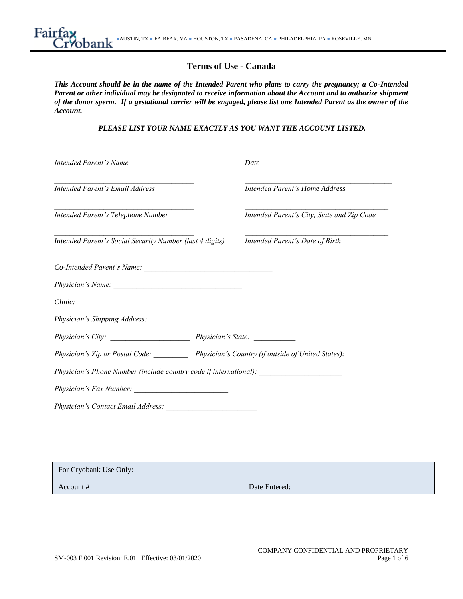# **Terms of Use - Canada**

*This Account should be in the name of the Intended Parent who plans to carry the pregnancy; a Co-Intended Parent or other individual may be designated to receive information about the Account and to authorize shipment of the donor sperm. If a gestational carrier will be engaged, please list one Intended Parent as the owner of the Account.*

*PLEASE LIST YOUR NAME EXACTLY AS YOU WANT THE ACCOUNT LISTED.*

| <b>Intended Parent's Name</b>                                                     | Date                                                                                                |
|-----------------------------------------------------------------------------------|-----------------------------------------------------------------------------------------------------|
| Intended Parent's Email Address                                                   | Intended Parent's Home Address                                                                      |
| Intended Parent's Telephone Number                                                | Intended Parent's City, State and Zip Code                                                          |
| Intended Parent's Social Security Number (last 4 digits)                          | Intended Parent's Date of Birth                                                                     |
|                                                                                   |                                                                                                     |
|                                                                                   |                                                                                                     |
|                                                                                   |                                                                                                     |
|                                                                                   |                                                                                                     |
|                                                                                   |                                                                                                     |
|                                                                                   |                                                                                                     |
|                                                                                   | Physician's Zip or Postal Code: Physician's Country (if outside of United States): ________________ |
|                                                                                   |                                                                                                     |
| Physician's Phone Number (include country code if international): _______________ |                                                                                                     |

| For Cryobank Use Only: |               |
|------------------------|---------------|
| Account #              | Date Entered: |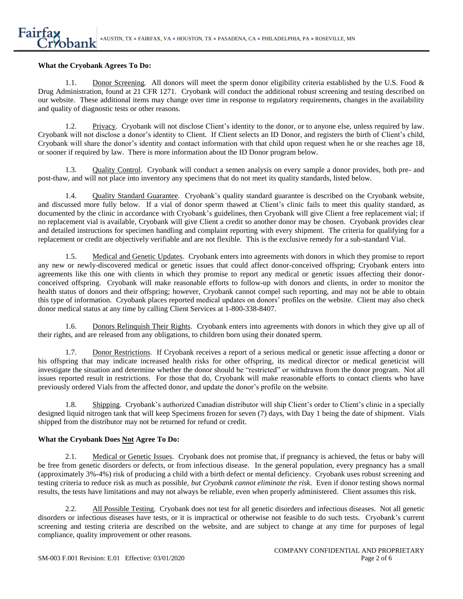#### **What the Cryobank Agrees To Do:**

1.1. Donor Screening*.* All donors will meet the sperm donor eligibility criteria established by the U.S. Food & Drug Administration, found at 21 CFR 1271. Cryobank will conduct the additional robust screening and testing described on our website. These additional items may change over time in response to regulatory requirements, changes in the availability and quality of diagnostic tests or other reasons.

1.2. Privacy. Cryobank will not disclose Client's identity to the donor, or to anyone else, unless required by law. Cryobank will not disclose a donor's identity to Client. If Client selects an ID Donor, and registers the birth of Client's child, Cryobank will share the donor's identity and contact information with that child upon request when he or she reaches age 18, or sooner if required by law. There is more information about the ID Donor program below.

1.3. Quality Control. Cryobank will conduct a semen analysis on every sample a donor provides, both pre- and post-thaw, and will not place into inventory any specimens that do not meet its quality standards, listed below.

1.4. Quality Standard Guarantee. Cryobank's quality standard guarantee is described on the Cryobank website, and discussed more fully below. If a vial of donor sperm thawed at Client's clinic fails to meet this quality standard, as documented by the clinic in accordance with Cryobank's guidelines, then Cryobank will give Client a free replacement vial; if no replacement vial is available, Cryobank will give Client a credit so another donor may be chosen. Cryobank provides clear and detailed instructions for specimen handling and complaint reporting with every shipment. The criteria for qualifying for a replacement or credit are objectively verifiable and are not flexible. This is the exclusive remedy for a sub-standard Vial.

1.5. Medical and Genetic Updates. Cryobank enters into agreements with donors in which they promise to report any new or newly-discovered medical or genetic issues that could affect donor-conceived offspring; Cryobank enters into agreements like this one with clients in which they promise to report any medical or genetic issues affecting their donorconceived offspring. Cryobank will make reasonable efforts to follow-up with donors and clients, in order to monitor the health status of donors and their offspring; however, Cryobank cannot compel such reporting, and may not be able to obtain this type of information. Cryobank places reported medical updates on donors' profiles on the website. Client may also check donor medical status at any time by calling Client Services at 1-800-338-8407.

1.6. Donors Relinquish Their Rights. Cryobank enters into agreements with donors in which they give up all of their rights, and are released from any obligations, to children born using their donated sperm.

1.7. Donor Restrictions. If Cryobank receives a report of a serious medical or genetic issue affecting a donor or his offspring that may indicate increased health risks for other offspring, its medical director or medical geneticist will investigate the situation and determine whether the donor should be "restricted" or withdrawn from the donor program. Not all issues reported result in restrictions. For those that do, Cryobank will make reasonable efforts to contact clients who have previously ordered Vials from the affected donor, and update the donor's profile on the website.

1.8. Shipping. Cryobank's authorized Canadian distributor will ship Client's order to Client's clinic in a specially designed liquid nitrogen tank that will keep Specimens frozen for seven (7) days, with Day 1 being the date of shipment. Vials shipped from the distributor may not be returned for refund or credit.

### **What the Cryobank Does Not Agree To Do:**

2.1. Medical or Genetic Issues. Cryobank does not promise that, if pregnancy is achieved, the fetus or baby will be free from genetic disorders or defects, or from infectious disease. In the general population, every pregnancy has a small (approximately 3%-4%) risk of producing a child with a birth defect or mental deficiency. Cryobank uses robust screening and testing criteria to reduce risk as much as possible, *but Cryobank cannot eliminate the risk*. Even if donor testing shows normal results, the tests have limitations and may not always be reliable, even when properly administered. Client assumes this risk.

2.2. All Possible Testing. Cryobank does not test for all genetic disorders and infectious diseases. Not all genetic disorders or infectious diseases have tests, or it is impractical or otherwise not feasible to do such tests. Cryobank's current screening and testing criteria are described on the website, and are subject to change at any time for purposes of legal compliance, quality improvement or other reasons.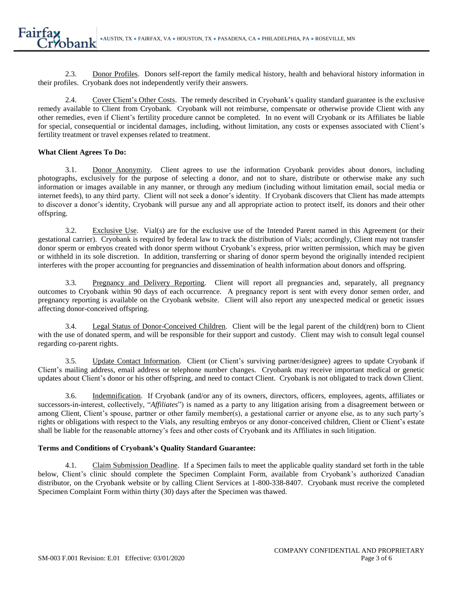2.3. Donor Profiles. Donors self-report the family medical history, health and behavioral history information in their profiles. Cryobank does not independently verify their answers.

2.4. Cover Client's Other Costs. The remedy described in Cryobank's quality standard guarantee is the exclusive remedy available to Client from Cryobank. Cryobank will not reimburse, compensate or otherwise provide Client with any other remedies, even if Client's fertility procedure cannot be completed. In no event will Cryobank or its Affiliates be liable for special, consequential or incidental damages, including, without limitation, any costs or expenses associated with Client's fertility treatment or travel expenses related to treatment.

### **What Client Agrees To Do:**

3.1. Donor Anonymity. Client agrees to use the information Cryobank provides about donors, including photographs, exclusively for the purpose of selecting a donor, and not to share, distribute or otherwise make any such information or images available in any manner, or through any medium (including without limitation email, social media or internet feeds), to any third party. Client will not seek a donor's identity. If Cryobank discovers that Client has made attempts to discover a donor's identity, Cryobank will pursue any and all appropriate action to protect itself, its donors and their other offspring.

3.2. Exclusive Use. Vial(s) are for the exclusive use of the Intended Parent named in this Agreement (or their gestational carrier). Cryobank is required by federal law to track the distribution of Vials; accordingly, Client may not transfer donor sperm or embryos created with donor sperm without Cryobank's express, prior written permission, which may be given or withheld in its sole discretion. In addition, transferring or sharing of donor sperm beyond the originally intended recipient interferes with the proper accounting for pregnancies and dissemination of health information about donors and offspring.

3.3. Pregnancy and Delivery Reporting. Client will report all pregnancies and, separately, all pregnancy outcomes to Cryobank within 90 days of each occurrence. A pregnancy report is sent with every donor semen order, and pregnancy reporting is available on the Cryobank website. Client will also report any unexpected medical or genetic issues affecting donor-conceived offspring.

3.4. Legal Status of Donor-Conceived Children. Client will be the legal parent of the child(ren) born to Client with the use of donated sperm, and will be responsible for their support and custody. Client may wish to consult legal counsel regarding co-parent rights.

3.5. Update Contact Information. Client (or Client's surviving partner/designee) agrees to update Cryobank if Client's mailing address, email address or telephone number changes. Cryobank may receive important medical or genetic updates about Client's donor or his other offspring, and need to contact Client. Cryobank is not obligated to track down Client.

3.6. Indemnification. If Cryobank (and/or any of its owners, directors, officers, employees, agents, affiliates or successors-in-interest, collectively, "*Affiliates*") is named as a party to any litigation arising from a disagreement between or among Client, Client's spouse, partner or other family member(s), a gestational carrier or anyone else, as to any such party's rights or obligations with respect to the Vials, any resulting embryos or any donor-conceived children, Client or Client's estate shall be liable for the reasonable attorney's fees and other costs of Cryobank and its Affiliates in such litigation.

### **Terms and Conditions of Cryobank's Quality Standard Guarantee:**

4.1. Claim Submission Deadline. If a Specimen fails to meet the applicable quality standard set forth in the table below, Client's clinic should complete the Specimen Complaint Form, available from Cryobank's authorized Canadian distributor, on the Cryobank website or by calling Client Services at 1-800-338-8407. Cryobank must receive the completed Specimen Complaint Form within thirty (30) days after the Specimen was thawed.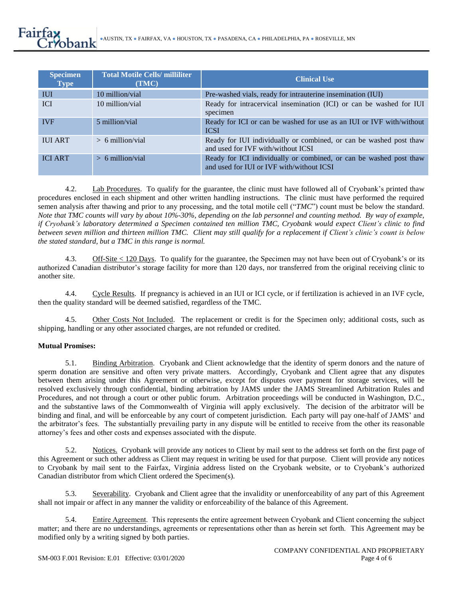| <b>Specimen</b><br><b>Type</b> | <b>Total Motile Cells/ milliliter</b><br>(TMC) | <b>Clinical Use</b>                                                                                             |
|--------------------------------|------------------------------------------------|-----------------------------------------------------------------------------------------------------------------|
| <b>IUI</b>                     | 10 million/vial                                | Pre-washed vials, ready for intrauterine insemination (IUI)                                                     |
| <b>ICI</b>                     | 10 million/vial                                | Ready for intracervical insemination (ICI) or can be washed for IUI<br>specimen                                 |
| <b>IVF</b>                     | 5 million/vial                                 | Ready for ICI or can be washed for use as an IUI or IVF with/without<br><b>ICSI</b>                             |
| <b>IUI ART</b>                 | $> 6$ million/vial                             | Ready for IUI individually or combined, or can be washed post thaw<br>and used for IVF with/without ICSI        |
| <b>ICI ART</b>                 | $> 6$ million/vial                             | Ready for ICI individually or combined, or can be washed post thaw<br>and used for IUI or IVF with/without ICSI |

4.2. Lab Procedures. To qualify for the guarantee, the clinic must have followed all of Cryobank's printed thaw procedures enclosed in each shipment and other written handling instructions. The clinic must have performed the required semen analysis after thawing and prior to any processing, and the total motile cell ("*TMC*") count must be below the standard. *Note that TMC counts will vary by about 10%-30%, depending on the lab personnel and counting method. By way of example, if Cryobank's laboratory determined a Specimen contained ten million TMC, Cryobank would expect Client's clinic to find between seven million and thirteen million TMC. Client may still qualify for a replacement if Client's clinic's count is below the stated standard, but a TMC in this range is normal.*

4.3. Off-Site < 120 Days. To qualify for the guarantee, the Specimen may not have been out of Cryobank's or its authorized Canadian distributor's storage facility for more than 120 days, nor transferred from the original receiving clinic to another site.

4.4. Cycle Results. If pregnancy is achieved in an IUI or ICI cycle, or if fertilization is achieved in an IVF cycle, then the quality standard will be deemed satisfied, regardless of the TMC.

4.5. Other Costs Not Included. The replacement or credit is for the Specimen only; additional costs, such as shipping, handling or any other associated charges, are not refunded or credited.

### **Mutual Promises:**

5.1. Binding Arbitration. Cryobank and Client acknowledge that the identity of sperm donors and the nature of sperm donation are sensitive and often very private matters. Accordingly, Cryobank and Client agree that any disputes between them arising under this Agreement or otherwise, except for disputes over payment for storage services, will be resolved exclusively through confidential, binding arbitration by JAMS under the JAMS Streamlined Arbitration Rules and Procedures, and not through a court or other public forum. Arbitration proceedings will be conducted in Washington, D.C., and the substantive laws of the Commonwealth of Virginia will apply exclusively. The decision of the arbitrator will be binding and final, and will be enforceable by any court of competent jurisdiction. Each party will pay one-half of JAMS' and the arbitrator's fees. The substantially prevailing party in any dispute will be entitled to receive from the other its reasonable attorney's fees and other costs and expenses associated with the dispute.

5.2. Notices. Cryobank will provide any notices to Client by mail sent to the address set forth on the first page of this Agreement or such other address as Client may request in writing be used for that purpose. Client will provide any notices to Cryobank by mail sent to the Fairfax, Virginia address listed on the Cryobank website, or to Cryobank's authorized Canadian distributor from which Client ordered the Specimen(s).

5.3. Severability. Cryobank and Client agree that the invalidity or unenforceability of any part of this Agreement shall not impair or affect in any manner the validity or enforceability of the balance of this Agreement.

5.4. Entire Agreement. This represents the entire agreement between Cryobank and Client concerning the subject matter; and there are no understandings, agreements or representations other than as herein set forth. This Agreement may be modified only by a writing signed by both parties.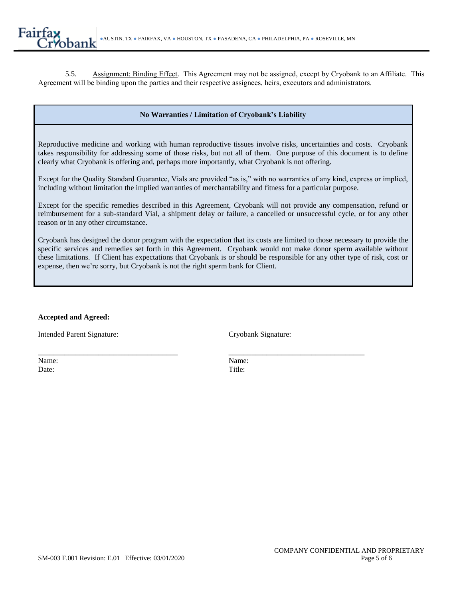5.5. Assignment; Binding Effect. This Agreement may not be assigned, except by Cryobank to an Affiliate. This Agreement will be binding upon the parties and their respective assignees, heirs, executors and administrators.

## **No Warranties / Limitation of Cryobank's Liability**

Reproductive medicine and working with human reproductive tissues involve risks, uncertainties and costs. Cryobank takes responsibility for addressing some of those risks, but not all of them. One purpose of this document is to define clearly what Cryobank is offering and, perhaps more importantly, what Cryobank is not offering.

Except for the Quality Standard Guarantee, Vials are provided "as is," with no warranties of any kind, express or implied, including without limitation the implied warranties of merchantability and fitness for a particular purpose.

Except for the specific remedies described in this Agreement, Cryobank will not provide any compensation, refund or reimbursement for a sub-standard Vial, a shipment delay or failure, a cancelled or unsuccessful cycle, or for any other reason or in any other circumstance.

Cryobank has designed the donor program with the expectation that its costs are limited to those necessary to provide the specific services and remedies set forth in this Agreement. Cryobank would not make donor sperm available without these limitations. If Client has expectations that Cryobank is or should be responsible for any other type of risk, cost or expense, then we're sorry, but Cryobank is not the right sperm bank for Client.

### **Accepted and Agreed:**

Intended Parent Signature: Cryobank Signature:

Name: Name: Date: Title:

\_\_\_\_\_\_\_\_\_\_\_\_\_\_\_\_\_\_\_\_\_\_\_\_\_\_\_\_\_\_\_\_\_\_\_\_\_ \_\_\_\_\_\_\_\_\_\_\_\_\_\_\_\_\_\_\_\_\_\_\_\_\_\_\_\_\_\_\_\_\_\_\_\_